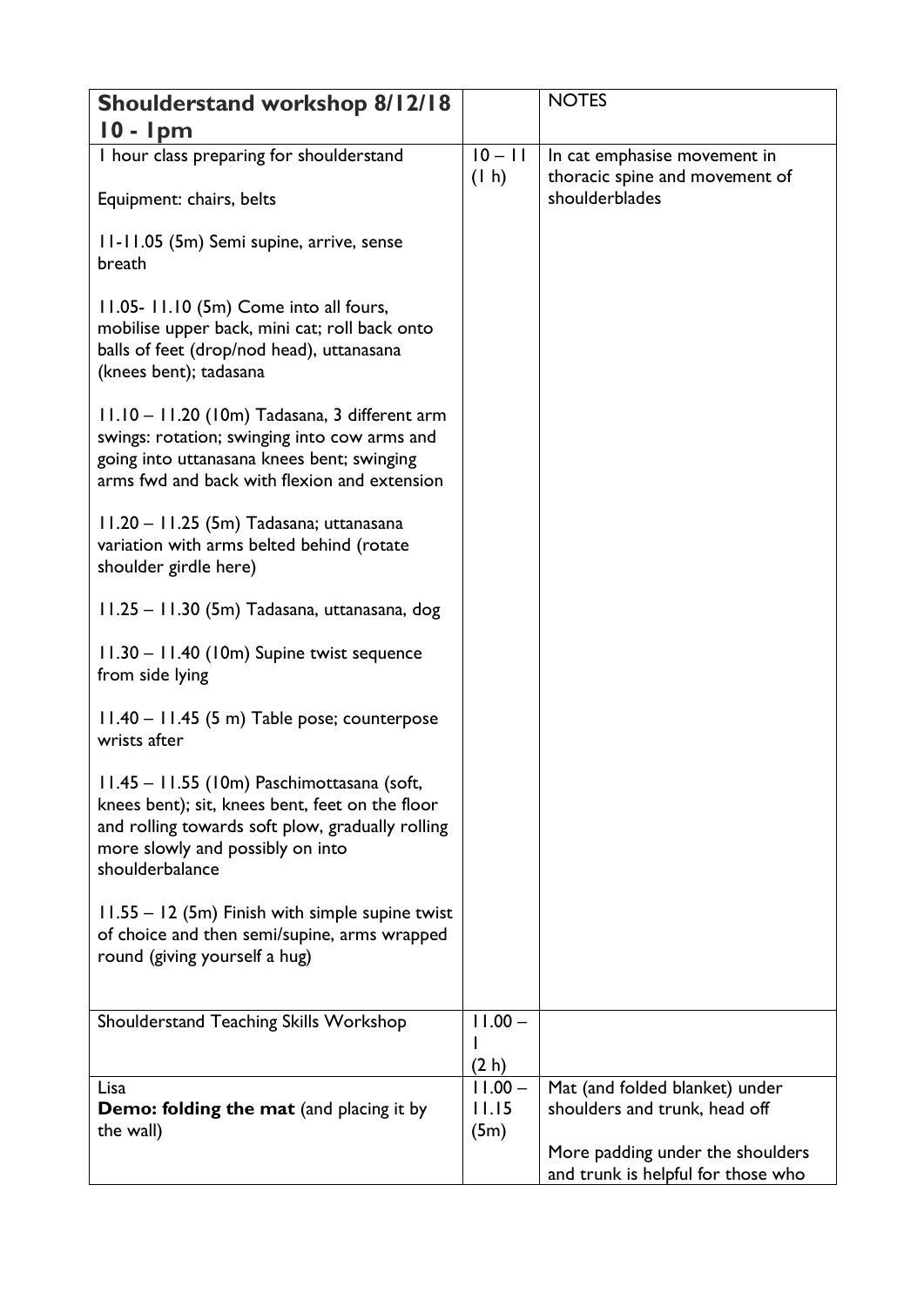| Shoulderstand workshop 8/12/18                                                                                                                                                                           |                    | <b>NOTES</b>                                                    |
|----------------------------------------------------------------------------------------------------------------------------------------------------------------------------------------------------------|--------------------|-----------------------------------------------------------------|
| $10 - 1pm$                                                                                                                                                                                               |                    |                                                                 |
| I hour class preparing for shoulderstand                                                                                                                                                                 | $10 - 11$          | In cat emphasise movement in                                    |
| Equipment: chairs, belts                                                                                                                                                                                 | (1 h)              | thoracic spine and movement of<br>shoulderblades                |
| 11-11.05 (5m) Semi supine, arrive, sense<br>breath                                                                                                                                                       |                    |                                                                 |
| 11.05-11.10 (5m) Come into all fours,<br>mobilise upper back, mini cat; roll back onto<br>balls of feet (drop/nod head), uttanasana<br>(knees bent); tadasana                                            |                    |                                                                 |
| 11.10 - 11.20 (10m) Tadasana, 3 different arm<br>swings: rotation; swinging into cow arms and<br>going into uttanasana knees bent; swinging<br>arms fwd and back with flexion and extension              |                    |                                                                 |
| 11.20 - 11.25 (5m) Tadasana; uttanasana<br>variation with arms belted behind (rotate<br>shoulder girdle here)                                                                                            |                    |                                                                 |
| 11.25 - 11.30 (5m) Tadasana, uttanasana, dog                                                                                                                                                             |                    |                                                                 |
| 11.30 - 11.40 (10m) Supine twist sequence<br>from side lying                                                                                                                                             |                    |                                                                 |
| 11.40 - 11.45 (5 m) Table pose; counterpose<br>wrists after                                                                                                                                              |                    |                                                                 |
| 11.45 - 11.55 (10m) Paschimottasana (soft,<br>knees bent); sit, knees bent, feet on the floor<br>and rolling towards soft plow, gradually rolling<br>more slowly and possibly on into<br>shoulderbalance |                    |                                                                 |
| 11.55 - 12 (5m) Finish with simple supine twist<br>of choice and then semi/supine, arms wrapped<br>round (giving yourself a hug)                                                                         |                    |                                                                 |
| Shoulderstand Teaching Skills Workshop                                                                                                                                                                   | $11.00 -$          |                                                                 |
|                                                                                                                                                                                                          |                    |                                                                 |
|                                                                                                                                                                                                          | (2 h)              |                                                                 |
| Lisa<br><b>Demo: folding the mat (and placing it by</b>                                                                                                                                                  | $11.00 -$<br>11.15 | Mat (and folded blanket) under<br>shoulders and trunk, head off |
| the wall)                                                                                                                                                                                                | (5m)               |                                                                 |
|                                                                                                                                                                                                          |                    | More padding under the shoulders                                |
|                                                                                                                                                                                                          |                    | and trunk is helpful for those who                              |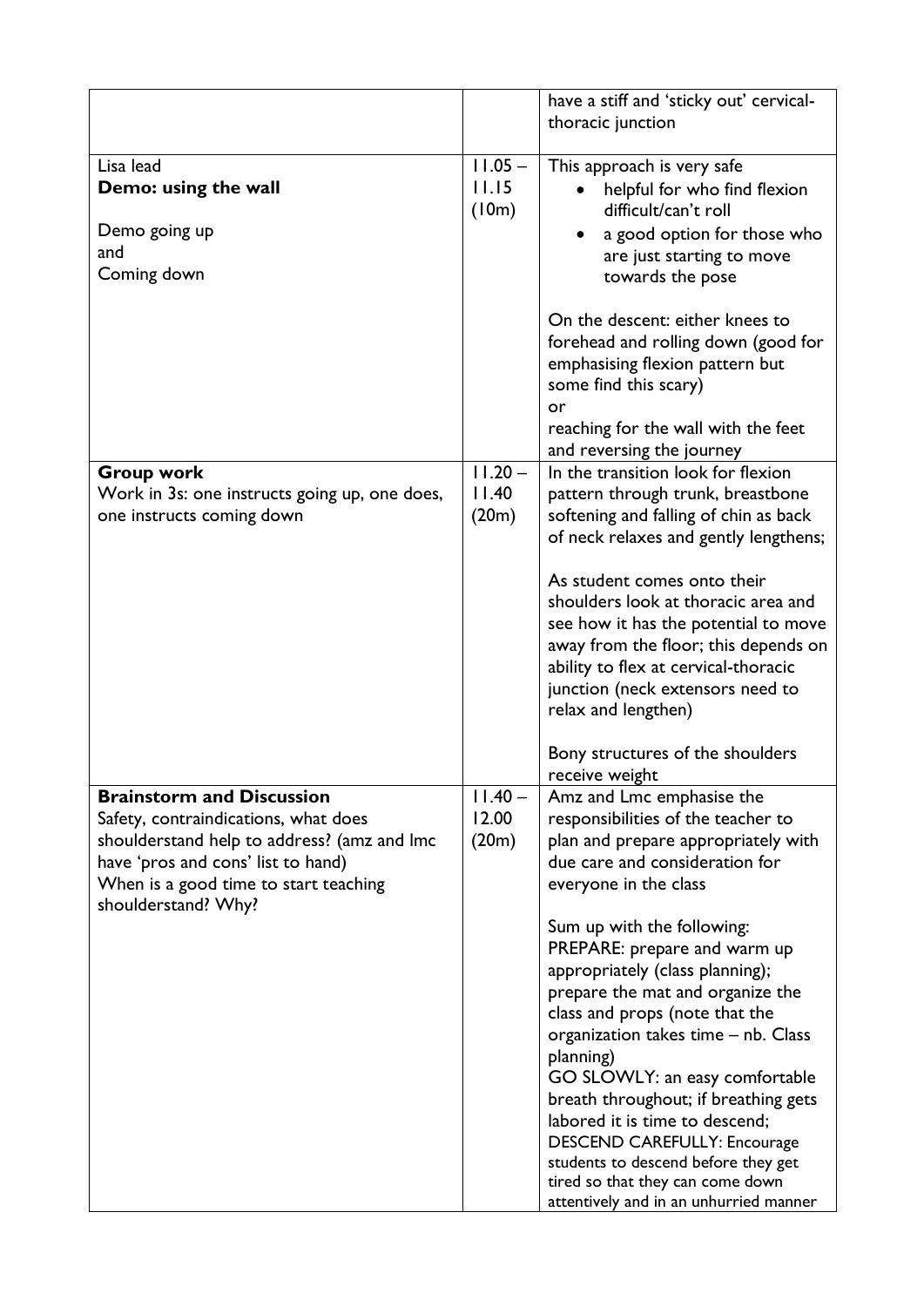|                                                                                     |                    | have a stiff and 'sticky out' cervical-                                      |
|-------------------------------------------------------------------------------------|--------------------|------------------------------------------------------------------------------|
|                                                                                     |                    | thoracic junction                                                            |
| Lisa lead<br>Demo: using the wall                                                   | $11.05 -$<br>11.15 | This approach is very safe                                                   |
|                                                                                     | (10m)              | helpful for who find flexion<br>difficult/can't roll                         |
| Demo going up                                                                       |                    | a good option for those who                                                  |
| and                                                                                 |                    | are just starting to move                                                    |
| Coming down                                                                         |                    | towards the pose                                                             |
|                                                                                     |                    | On the descent: either knees to                                              |
|                                                                                     |                    | forehead and rolling down (good for                                          |
|                                                                                     |                    | emphasising flexion pattern but                                              |
|                                                                                     |                    | some find this scary)<br>or                                                  |
|                                                                                     |                    | reaching for the wall with the feet                                          |
|                                                                                     |                    | and reversing the journey                                                    |
| <b>Group work</b>                                                                   | $11.20 -$<br>11.40 | In the transition look for flexion<br>pattern through trunk, breastbone      |
| Work in 3s: one instructs going up, one does,<br>one instructs coming down          | (20m)              | softening and falling of chin as back                                        |
|                                                                                     |                    | of neck relaxes and gently lengthens;                                        |
|                                                                                     |                    | As student comes onto their                                                  |
|                                                                                     |                    | shoulders look at thoracic area and                                          |
|                                                                                     |                    | see how it has the potential to move                                         |
|                                                                                     |                    | away from the floor; this depends on<br>ability to flex at cervical-thoracic |
|                                                                                     |                    | junction (neck extensors need to                                             |
|                                                                                     |                    | relax and lengthen)                                                          |
|                                                                                     |                    | Bony structures of the shoulders                                             |
|                                                                                     |                    | receive weight                                                               |
| <b>Brainstorm and Discussion</b>                                                    | $11.40 -$          | Amz and Lmc emphasise the                                                    |
| Safety, contraindications, what does<br>shoulderstand help to address? (amz and Imc | 12.00<br>(20m)     | responsibilities of the teacher to<br>plan and prepare appropriately with    |
| have 'pros and cons' list to hand)                                                  |                    | due care and consideration for                                               |
| When is a good time to start teaching<br>shoulderstand? Why?                        |                    | everyone in the class                                                        |
|                                                                                     |                    | Sum up with the following:                                                   |
|                                                                                     |                    | PREPARE: prepare and warm up                                                 |
|                                                                                     |                    | appropriately (class planning);<br>prepare the mat and organize the          |
|                                                                                     |                    | class and props (note that the                                               |
|                                                                                     |                    | organization takes time - nb. Class                                          |
|                                                                                     |                    | planning)                                                                    |
|                                                                                     |                    | GO SLOWLY: an easy comfortable<br>breath throughout; if breathing gets       |
|                                                                                     |                    | labored it is time to descend;                                               |
|                                                                                     |                    | <b>DESCEND CAREFULLY: Encourage</b>                                          |
|                                                                                     |                    | students to descend before they get                                          |
|                                                                                     |                    | tired so that they can come down<br>attentively and in an unhurried manner   |